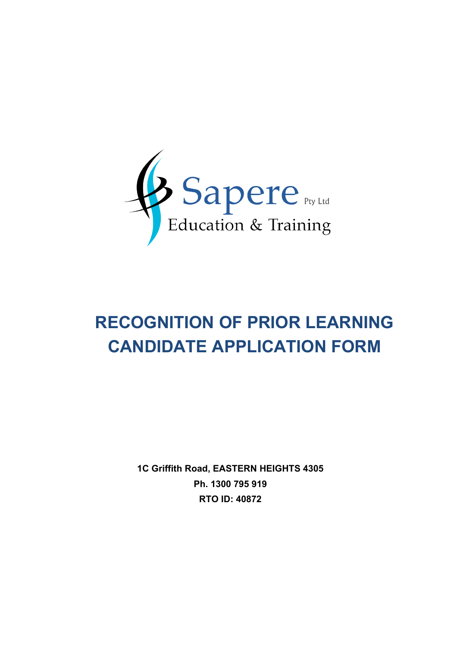

# **RECOGNITION OF PRIOR LEARNING CANDIDATE APPLICATION FORM**

**1C Griffith Road, EASTERN HEIGHTS 4305 Ph. 1300 795 919 RTO ID: 40872**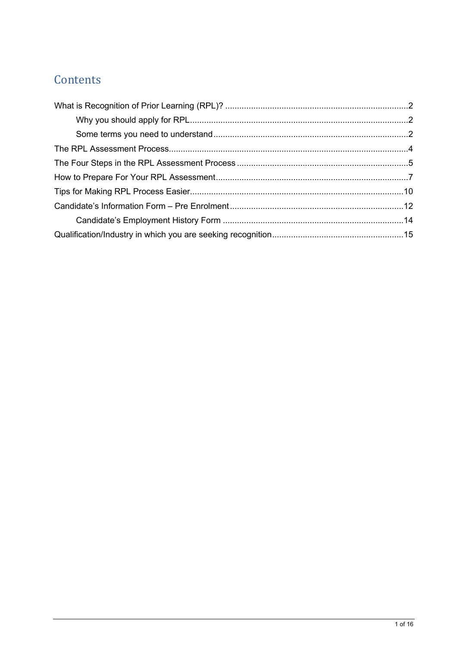### **Contents**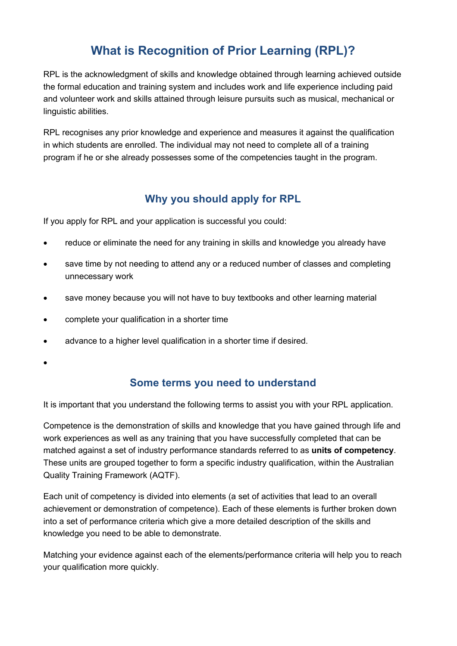# **What is Recognition of Prior Learning (RPL)?**

RPL is the acknowledgment of skills and knowledge obtained through learning achieved outside the formal education and training system and includes work and life experience including paid and volunteer work and skills attained through leisure pursuits such as musical, mechanical or linguistic abilities.

RPL recognises any prior knowledge and experience and measures it against the qualification in which students are enrolled. The individual may not need to complete all of a training program if he or she already possesses some of the competencies taught in the program.

#### **Why you should apply for RPL**

If you apply for RPL and your application is successful you could:

- reduce or eliminate the need for any training in skills and knowledge you already have
- save time by not needing to attend any or a reduced number of classes and completing unnecessary work
- save money because you will not have to buy textbooks and other learning material
- complete your qualification in a shorter time
- advance to a higher level qualification in a shorter time if desired.
- •

#### **Some terms you need to understand**

It is important that you understand the following terms to assist you with your RPL application.

Competence is the demonstration of skills and knowledge that you have gained through life and work experiences as well as any training that you have successfully completed that can be matched against a set of industry performance standards referred to as **units of competency**. These units are grouped together to form a specific industry qualification, within the Australian Quality Training Framework (AQTF).

Each unit of competency is divided into elements (a set of activities that lead to an overall achievement or demonstration of competence). Each of these elements is further broken down into a set of performance criteria which give a more detailed description of the skills and knowledge you need to be able to demonstrate.

Matching your evidence against each of the elements/performance criteria will help you to reach your qualification more quickly.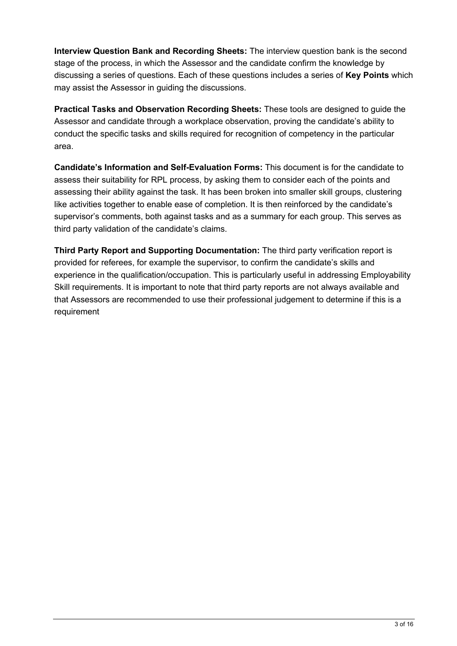**Interview Question Bank and Recording Sheets:** The interview question bank is the second stage of the process, in which the Assessor and the candidate confirm the knowledge by discussing a series of questions. Each of these questions includes a series of **Key Points** which may assist the Assessor in guiding the discussions.

**Practical Tasks and Observation Recording Sheets:** These tools are designed to guide the Assessor and candidate through a workplace observation, proving the candidate's ability to conduct the specific tasks and skills required for recognition of competency in the particular area.

**Candidate's Information and Self-Evaluation Forms:** This document is for the candidate to assess their suitability for RPL process, by asking them to consider each of the points and assessing their ability against the task. It has been broken into smaller skill groups, clustering like activities together to enable ease of completion. It is then reinforced by the candidate's supervisor's comments, both against tasks and as a summary for each group. This serves as third party validation of the candidate's claims.

**Third Party Report and Supporting Documentation:** The third party verification report is provided for referees, for example the supervisor, to confirm the candidate's skills and experience in the qualification/occupation. This is particularly useful in addressing Employability Skill requirements. It is important to note that third party reports are not always available and that Assessors are recommended to use their professional judgement to determine if this is a requirement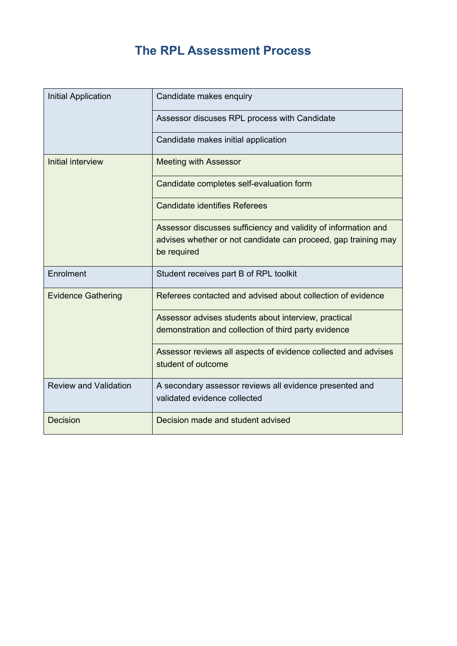# **The RPL Assessment Process**

| Initial Application          | Candidate makes enquiry                                                              |
|------------------------------|--------------------------------------------------------------------------------------|
|                              | Assessor discuses RPL process with Candidate                                         |
|                              | Candidate makes initial application                                                  |
| Initial interview            | <b>Meeting with Assessor</b>                                                         |
|                              | Candidate completes self-evaluation form                                             |
|                              | <b>Candidate identifies Referees</b>                                                 |
|                              | Assessor discusses sufficiency and validity of information and                       |
|                              | advises whether or not candidate can proceed, gap training may                       |
|                              | be required                                                                          |
| Enrolment                    | Student receives part B of RPL toolkit                                               |
| <b>Evidence Gathering</b>    | Referees contacted and advised about collection of evidence                          |
|                              |                                                                                      |
|                              | Assessor advises students about interview, practical                                 |
|                              | demonstration and collection of third party evidence                                 |
|                              | Assessor reviews all aspects of evidence collected and advises<br>student of outcome |
| <b>Review and Validation</b> | A secondary assessor reviews all evidence presented and                              |
|                              | validated evidence collected                                                         |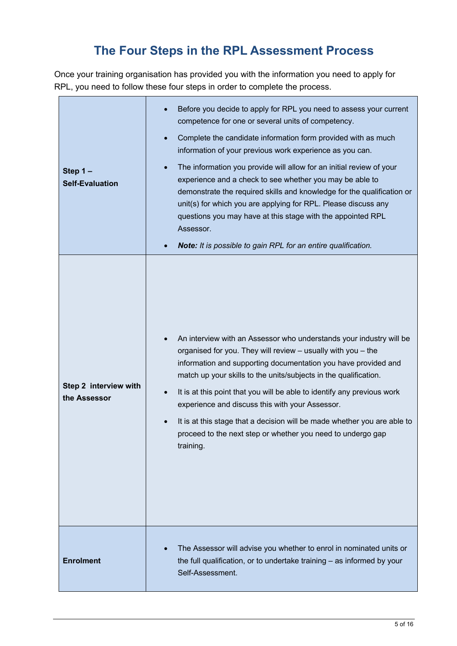# **The Four Steps in the RPL Assessment Process**

Once your training organisation has provided you with the information you need to apply for RPL, you need to follow these four steps in order to complete the process.

| Step $1 -$<br><b>Self-Evaluation</b>  | Before you decide to apply for RPL you need to assess your current<br>competence for one or several units of competency.<br>Complete the candidate information form provided with as much<br>$\bullet$<br>information of your previous work experience as you can.<br>The information you provide will allow for an initial review of your<br>experience and a check to see whether you may be able to<br>demonstrate the required skills and knowledge for the qualification or<br>unit(s) for which you are applying for RPL. Please discuss any<br>questions you may have at this stage with the appointed RPL<br>Assessor.<br>Note: It is possible to gain RPL for an entire qualification. |
|---------------------------------------|-------------------------------------------------------------------------------------------------------------------------------------------------------------------------------------------------------------------------------------------------------------------------------------------------------------------------------------------------------------------------------------------------------------------------------------------------------------------------------------------------------------------------------------------------------------------------------------------------------------------------------------------------------------------------------------------------|
| Step 2 interview with<br>the Assessor | An interview with an Assessor who understands your industry will be<br>organised for you. They will review - usually with you - the<br>information and supporting documentation you have provided and<br>match up your skills to the units/subjects in the qualification.<br>It is at this point that you will be able to identify any previous work<br>$\bullet$<br>experience and discuss this with your Assessor.<br>It is at this stage that a decision will be made whether you are able to<br>$\bullet$<br>proceed to the next step or whether you need to undergo gap<br>training.                                                                                                       |
| <b>Enrolment</b>                      | The Assessor will advise you whether to enrol in nominated units or<br>the full qualification, or to undertake training $-$ as informed by your<br>Self-Assessment.                                                                                                                                                                                                                                                                                                                                                                                                                                                                                                                             |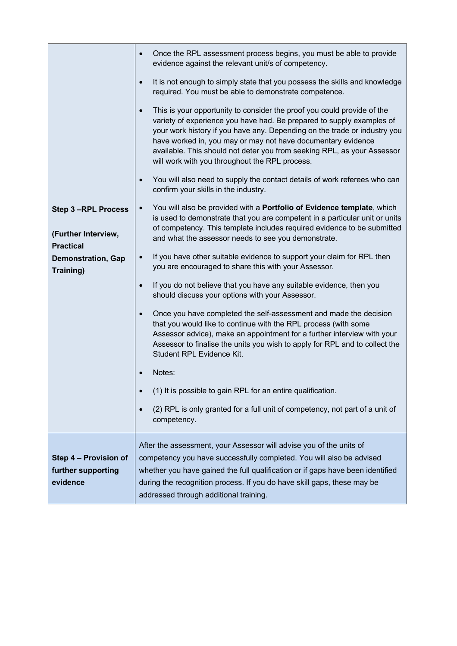|                                                                      | Once the RPL assessment process begins, you must be able to provide<br>evidence against the relevant unit/s of competency.                                                                                                                                                                                                                                                                                                              |
|----------------------------------------------------------------------|-----------------------------------------------------------------------------------------------------------------------------------------------------------------------------------------------------------------------------------------------------------------------------------------------------------------------------------------------------------------------------------------------------------------------------------------|
|                                                                      | It is not enough to simply state that you possess the skills and knowledge<br>$\bullet$<br>required. You must be able to demonstrate competence.                                                                                                                                                                                                                                                                                        |
|                                                                      | This is your opportunity to consider the proof you could provide of the<br>$\bullet$<br>variety of experience you have had. Be prepared to supply examples of<br>your work history if you have any. Depending on the trade or industry you<br>have worked in, you may or may not have documentary evidence<br>available. This should not deter you from seeking RPL, as your Assessor<br>will work with you throughout the RPL process. |
|                                                                      | You will also need to supply the contact details of work referees who can<br>$\bullet$<br>confirm your skills in the industry.                                                                                                                                                                                                                                                                                                          |
| <b>Step 3-RPL Process</b><br>(Further Interview,<br><b>Practical</b> | You will also be provided with a Portfolio of Evidence template, which<br>is used to demonstrate that you are competent in a particular unit or units<br>of competency. This template includes required evidence to be submitted<br>and what the assessor needs to see you demonstrate.                                                                                                                                                 |
| <b>Demonstration, Gap</b><br>Training)                               | If you have other suitable evidence to support your claim for RPL then<br>$\bullet$<br>you are encouraged to share this with your Assessor.                                                                                                                                                                                                                                                                                             |
|                                                                      | If you do not believe that you have any suitable evidence, then you<br>$\bullet$<br>should discuss your options with your Assessor.                                                                                                                                                                                                                                                                                                     |
|                                                                      | Once you have completed the self-assessment and made the decision<br>$\bullet$<br>that you would like to continue with the RPL process (with some<br>Assessor advice), make an appointment for a further interview with your<br>Assessor to finalise the units you wish to apply for RPL and to collect the<br>Student RPL Evidence Kit.                                                                                                |
|                                                                      | Notes:                                                                                                                                                                                                                                                                                                                                                                                                                                  |
|                                                                      | (1) It is possible to gain RPL for an entire qualification.                                                                                                                                                                                                                                                                                                                                                                             |
|                                                                      | (2) RPL is only granted for a full unit of competency, not part of a unit of<br>$\bullet$<br>competency.                                                                                                                                                                                                                                                                                                                                |
| Step 4 - Provision of<br>further supporting<br>evidence              | After the assessment, your Assessor will advise you of the units of<br>competency you have successfully completed. You will also be advised<br>whether you have gained the full qualification or if gaps have been identified<br>during the recognition process. If you do have skill gaps, these may be<br>addressed through additional training.                                                                                      |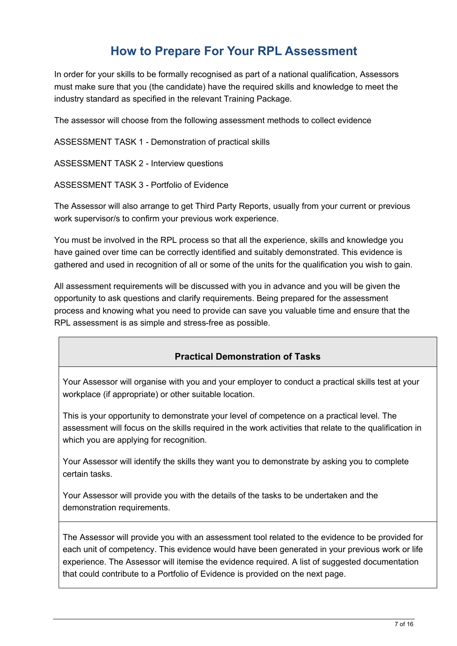## **How to Prepare For Your RPL Assessment**

In order for your skills to be formally recognised as part of a national qualification, Assessors must make sure that you (the candidate) have the required skills and knowledge to meet the industry standard as specified in the relevant Training Package.

The assessor will choose from the following assessment methods to collect evidence

ASSESSMENT TASK 1 - Demonstration of practical skills

ASSESSMENT TASK 2 - Interview questions

ASSESSMENT TASK 3 - Portfolio of Evidence

The Assessor will also arrange to get Third Party Reports, usually from your current or previous work supervisor/s to confirm your previous work experience.

You must be involved in the RPL process so that all the experience, skills and knowledge you have gained over time can be correctly identified and suitably demonstrated. This evidence is gathered and used in recognition of all or some of the units for the qualification you wish to gain.

All assessment requirements will be discussed with you in advance and you will be given the opportunity to ask questions and clarify requirements. Being prepared for the assessment process and knowing what you need to provide can save you valuable time and ensure that the RPL assessment is as simple and stress-free as possible.

#### **Practical Demonstration of Tasks**

Your Assessor will organise with you and your employer to conduct a practical skills test at your workplace (if appropriate) or other suitable location.

This is your opportunity to demonstrate your level of competence on a practical level. The assessment will focus on the skills required in the work activities that relate to the qualification in which you are applying for recognition.

Your Assessor will identify the skills they want you to demonstrate by asking you to complete certain tasks.

Your Assessor will provide you with the details of the tasks to be undertaken and the demonstration requirements.

The Assessor will provide you with an assessment tool related to the evidence to be provided for each unit of competency. This evidence would have been generated in your previous work or life experience. The Assessor will itemise the evidence required. A list of suggested documentation that could contribute to a Portfolio of Evidence is provided on the next page.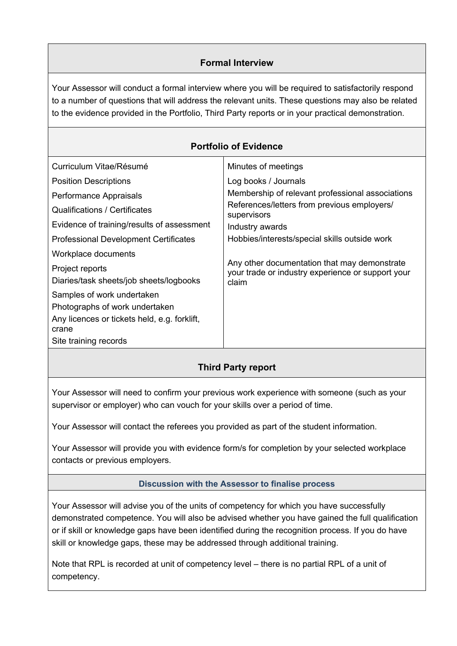#### **Formal Interview**

Your Assessor will conduct a formal interview where you will be required to satisfactorily respond to a number of questions that will address the relevant units. These questions may also be related to the evidence provided in the Portfolio, Third Party reports or in your practical demonstration.

| Curriculum Vitae/Résumé                                                                                               | Minutes of meetings                                                                                        |
|-----------------------------------------------------------------------------------------------------------------------|------------------------------------------------------------------------------------------------------------|
| <b>Position Descriptions</b>                                                                                          | Log books / Journals                                                                                       |
| Performance Appraisals                                                                                                | Membership of relevant professional associations                                                           |
| Qualifications / Certificates                                                                                         | References/letters from previous employers/<br>supervisors                                                 |
| Evidence of training/results of assessment                                                                            | Industry awards                                                                                            |
| <b>Professional Development Certificates</b>                                                                          | Hobbies/interests/special skills outside work                                                              |
| Workplace documents                                                                                                   |                                                                                                            |
| Project reports<br>Diaries/task sheets/job sheets/logbooks                                                            | Any other documentation that may demonstrate<br>your trade or industry experience or support your<br>claim |
| Samples of work undertaken<br>Photographs of work undertaken<br>Any licences or tickets held, e.g. forklift,<br>crane |                                                                                                            |
| Site training records                                                                                                 |                                                                                                            |

#### **Third Party report**

Your Assessor will need to confirm your previous work experience with someone (such as your supervisor or employer) who can vouch for your skills over a period of time.

Your Assessor will contact the referees you provided as part of the student information.

Your Assessor will provide you with evidence form/s for completion by your selected workplace contacts or previous employers.

**Discussion with the Assessor to finalise process**

Your Assessor will advise you of the units of competency for which you have successfully demonstrated competence. You will also be advised whether you have gained the full qualification or if skill or knowledge gaps have been identified during the recognition process. If you do have skill or knowledge gaps, these may be addressed through additional training.

Note that RPL is recorded at unit of competency level – there is no partial RPL of a unit of competency.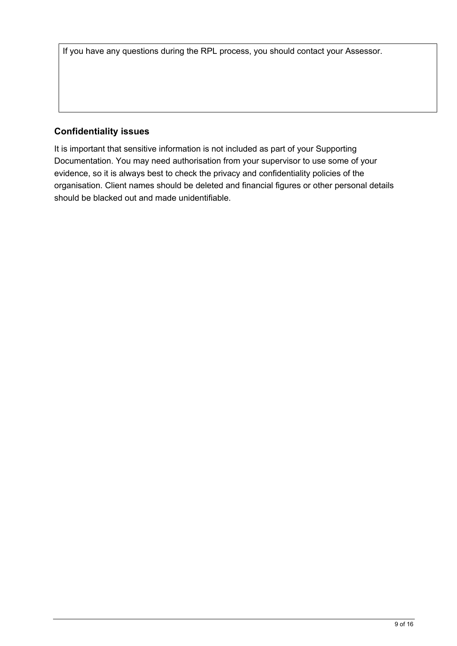If you have any questions during the RPL process, you should contact your Assessor.

#### **Confidentiality issues**

It is important that sensitive information is not included as part of your Supporting Documentation. You may need authorisation from your supervisor to use some of your evidence, so it is always best to check the privacy and confidentiality policies of the organisation. Client names should be deleted and financial figures or other personal details should be blacked out and made unidentifiable.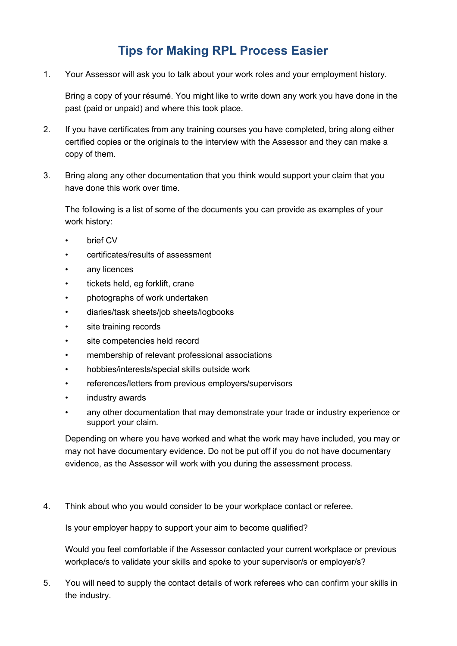# **Tips for Making RPL Process Easier**

1. Your Assessor will ask you to talk about your work roles and your employment history.

Bring a copy of your résumé. You might like to write down any work you have done in the past (paid or unpaid) and where this took place.

- 2. If you have certificates from any training courses you have completed, bring along either certified copies or the originals to the interview with the Assessor and they can make a copy of them.
- 3. Bring along any other documentation that you think would support your claim that you have done this work over time.

The following is a list of some of the documents you can provide as examples of your work history:

- brief CV
- certificates/results of assessment
- any licences
- tickets held, eg forklift, crane
- photographs of work undertaken
- diaries/task sheets/job sheets/logbooks
- site training records
- site competencies held record
- membership of relevant professional associations
- hobbies/interests/special skills outside work
- references/letters from previous employers/supervisors
- industry awards
- any other documentation that may demonstrate your trade or industry experience or support your claim.

Depending on where you have worked and what the work may have included, you may or may not have documentary evidence. Do not be put off if you do not have documentary evidence, as the Assessor will work with you during the assessment process.

4. Think about who you would consider to be your workplace contact or referee.

Is your employer happy to support your aim to become qualified?

Would you feel comfortable if the Assessor contacted your current workplace or previous workplace/s to validate your skills and spoke to your supervisor/s or employer/s?

5. You will need to supply the contact details of work referees who can confirm your skills in the industry.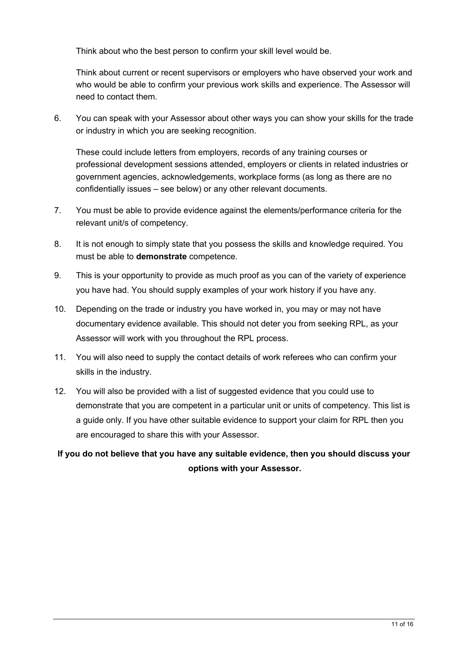Think about who the best person to confirm your skill level would be.

Think about current or recent supervisors or employers who have observed your work and who would be able to confirm your previous work skills and experience. The Assessor will need to contact them.

6. You can speak with your Assessor about other ways you can show your skills for the trade or industry in which you are seeking recognition.

These could include letters from employers, records of any training courses or professional development sessions attended, employers or clients in related industries or government agencies, acknowledgements, workplace forms (as long as there are no confidentially issues – see below) or any other relevant documents.

- 7. You must be able to provide evidence against the elements/performance criteria for the relevant unit/s of competency.
- 8. It is not enough to simply state that you possess the skills and knowledge required. You must be able to **demonstrate** competence.
- 9. This is your opportunity to provide as much proof as you can of the variety of experience you have had. You should supply examples of your work history if you have any.
- 10. Depending on the trade or industry you have worked in, you may or may not have documentary evidence available. This should not deter you from seeking RPL, as your Assessor will work with you throughout the RPL process.
- 11. You will also need to supply the contact details of work referees who can confirm your skills in the industry.
- 12. You will also be provided with a list of suggested evidence that you could use to demonstrate that you are competent in a particular unit or units of competency. This list is a guide only. If you have other suitable evidence to support your claim for RPL then you are encouraged to share this with your Assessor.

#### **If you do not believe that you have any suitable evidence, then you should discuss your options with your Assessor.**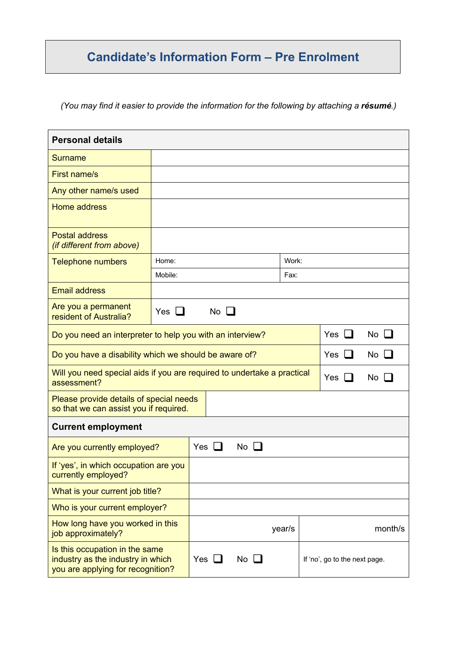# **Candidate's Information Form – Pre Enrolment**

*(You may find it easier to provide the information for the following by attaching a résumé.)*

| <b>Personal details</b>                                                                                                    |            |                |           |        |                               |         |
|----------------------------------------------------------------------------------------------------------------------------|------------|----------------|-----------|--------|-------------------------------|---------|
| <b>Surname</b>                                                                                                             |            |                |           |        |                               |         |
| <b>First name/s</b>                                                                                                        |            |                |           |        |                               |         |
| Any other name/s used                                                                                                      |            |                |           |        |                               |         |
| Home address                                                                                                               |            |                |           |        |                               |         |
| <b>Postal address</b><br>(if different from above)                                                                         |            |                |           |        |                               |         |
| Telephone numbers                                                                                                          | Home:      |                |           | Work:  |                               |         |
|                                                                                                                            | Mobile:    |                |           | Fax:   |                               |         |
| <b>Email address</b>                                                                                                       |            |                |           |        |                               |         |
| Are you a permanent<br>resident of Australia?                                                                              | Yes $\Box$ | No $\square$   |           |        |                               |         |
| Yes $\Box$<br>No $\Box$<br>Do you need an interpreter to help you with an interview?                                       |            |                |           |        |                               |         |
| No $\Box$<br>Do you have a disability which we should be aware of?<br>Yes<br>$\mathbf{L}$                                  |            |                |           |        |                               |         |
| Will you need special aids if you are required to undertake a practical<br>Yes<br>No $\Box$<br>$\mathbf{L}$<br>assessment? |            |                |           |        |                               |         |
| Please provide details of special needs<br>so that we can assist you if required.                                          |            |                |           |        |                               |         |
| <b>Current employment</b>                                                                                                  |            |                |           |        |                               |         |
| Are you currently employed?                                                                                                |            | Yes<br>$\perp$ | No $\Box$ |        |                               |         |
| If 'yes', in which occupation are you<br>currently employed?                                                               |            |                |           |        |                               |         |
| What is your current job title?                                                                                            |            |                |           |        |                               |         |
| Who is your current employer?                                                                                              |            |                |           |        |                               |         |
| How long have you worked in this<br>job approximately?                                                                     |            |                |           | year/s |                               | month/s |
| Is this occupation in the same<br>industry as the industry in which<br>you are applying for recognition?                   |            | Yes            | No $\Box$ |        | If 'no', go to the next page. |         |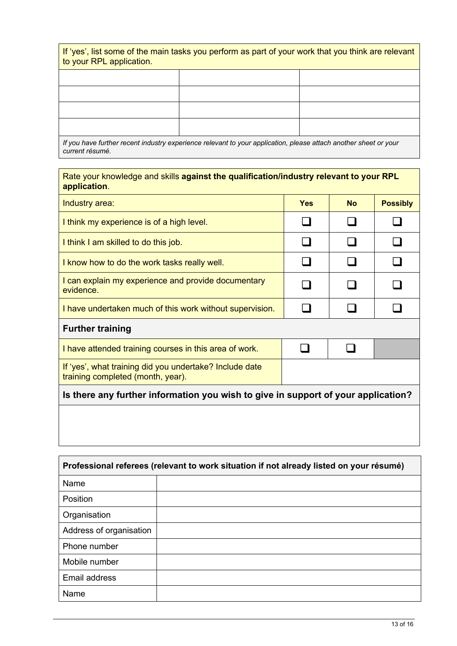| If 'yes', list some of the main tasks you perform as part of your work that you think are relevant<br>to your RPL application. |  |  |  |  |  |
|--------------------------------------------------------------------------------------------------------------------------------|--|--|--|--|--|
|                                                                                                                                |  |  |  |  |  |
|                                                                                                                                |  |  |  |  |  |
|                                                                                                                                |  |  |  |  |  |
|                                                                                                                                |  |  |  |  |  |
| If you have further recent industry experience relevant to your application, please attach another sheet or your               |  |  |  |  |  |

*If you have further recent industry experience relevant to your application, please attach another sheet or your current résumé.*

| Rate your knowledge and skills against the qualification/industry relevant to your RPL<br>application. |            |           |                 |  |
|--------------------------------------------------------------------------------------------------------|------------|-----------|-----------------|--|
| Industry area:                                                                                         | <b>Yes</b> | <b>No</b> | <b>Possibly</b> |  |
| I think my experience is of a high level.                                                              |            |           |                 |  |
| I think I am skilled to do this job.                                                                   |            |           |                 |  |
| I know how to do the work tasks really well.                                                           |            |           |                 |  |
| I can explain my experience and provide documentary<br>evidence.                                       |            |           |                 |  |
| I have undertaken much of this work without supervision.                                               |            |           |                 |  |
| <b>Further training</b>                                                                                |            |           |                 |  |
| I have attended training courses in this area of work.                                                 |            |           |                 |  |
| If 'yes', what training did you undertake? Include date<br>training completed (month, year).           |            |           |                 |  |
| Is there any further information you wish to give in support of your application?                      |            |           |                 |  |

| Professional referees (relevant to work situation if not already listed on your résumé) |  |  |  |  |
|-----------------------------------------------------------------------------------------|--|--|--|--|
| Name                                                                                    |  |  |  |  |
| Position                                                                                |  |  |  |  |
| Organisation                                                                            |  |  |  |  |
| Address of organisation                                                                 |  |  |  |  |
| Phone number                                                                            |  |  |  |  |
| Mobile number                                                                           |  |  |  |  |
| Email address                                                                           |  |  |  |  |
| Name                                                                                    |  |  |  |  |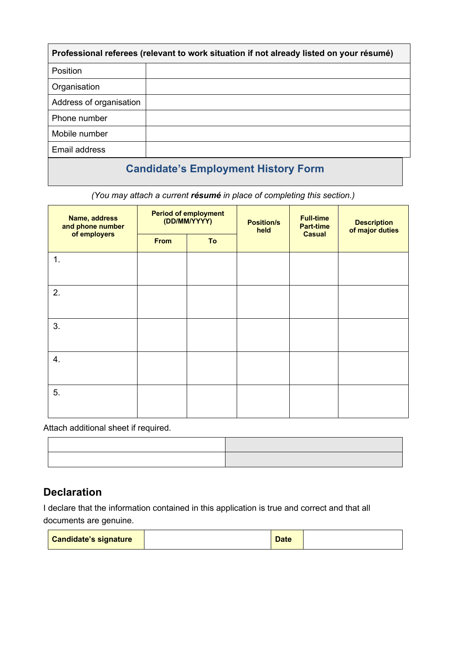| Professional referees (relevant to work situation if not already listed on your résumé) |  |  |  |  |
|-----------------------------------------------------------------------------------------|--|--|--|--|
| Position                                                                                |  |  |  |  |
| Organisation                                                                            |  |  |  |  |
| Address of organisation                                                                 |  |  |  |  |
| Phone number                                                                            |  |  |  |  |
| Mobile number                                                                           |  |  |  |  |
| Email address                                                                           |  |  |  |  |
|                                                                                         |  |  |  |  |

#### **Candidate's Employment History Form**

*(You may attach a current résumé in place of completing this section.)*

| Name, address<br>and phone number<br>of employers | <b>Period of employment</b><br>(DD/MM/YYYY) |    | <b>Position/s</b><br>held | <b>Full-time</b><br><b>Part-time</b> | <b>Description</b><br>of major duties |
|---------------------------------------------------|---------------------------------------------|----|---------------------------|--------------------------------------|---------------------------------------|
|                                                   | <b>From</b>                                 | To |                           | <b>Casual</b>                        |                                       |
| 1.                                                |                                             |    |                           |                                      |                                       |
| 2.                                                |                                             |    |                           |                                      |                                       |
| 3.                                                |                                             |    |                           |                                      |                                       |
| 4.                                                |                                             |    |                           |                                      |                                       |
| 5.                                                |                                             |    |                           |                                      |                                       |

Attach additional sheet if required.

#### **Declaration**

I declare that the information contained in this application is true and correct and that all documents are genuine.

| <b>Candidate's signature</b> |  | <b>Date</b> |  |
|------------------------------|--|-------------|--|
|------------------------------|--|-------------|--|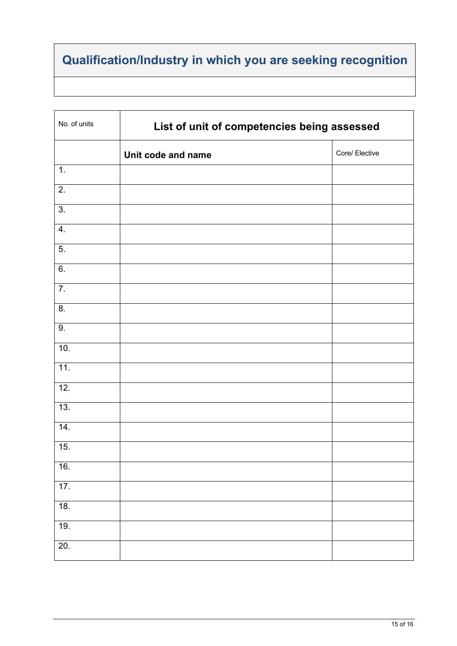# **Qualification/Industry in which you are seeking recognition**

| No. of units     | List of unit of competencies being assessed |                |  |
|------------------|---------------------------------------------|----------------|--|
|                  | Unit code and name                          | Core/ Elective |  |
| 1.               |                                             |                |  |
| $\overline{2}$ . |                                             |                |  |
| $\overline{3}$ . |                                             |                |  |
| 4.               |                                             |                |  |
| 5.               |                                             |                |  |
| 6.               |                                             |                |  |
| $\overline{7}$ . |                                             |                |  |
| $\overline{8}$ . |                                             |                |  |
| 9.               |                                             |                |  |
| 10.              |                                             |                |  |
| 11.              |                                             |                |  |
| 12.              |                                             |                |  |
| 13.              |                                             |                |  |
| 14.              |                                             |                |  |
| 15.              |                                             |                |  |
| 16.              |                                             |                |  |
| 17.              |                                             |                |  |
| 18.              |                                             |                |  |
| 19.              |                                             |                |  |
| 20.              |                                             |                |  |